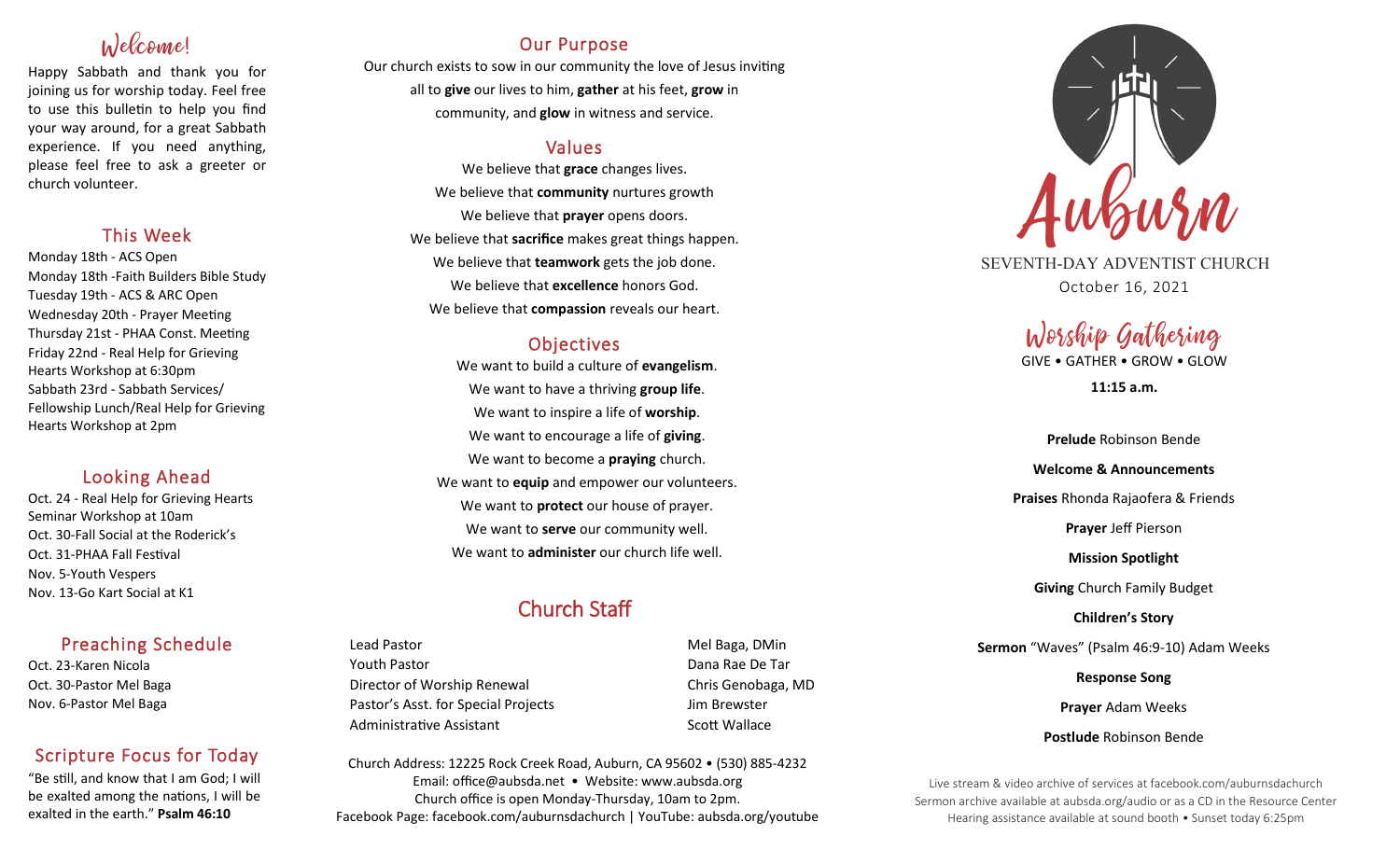# Welcome!

Happy Sabbath and thank you for joining us for worship today. Feel free to use this bulletin to help you find your way around, for a great Sabbath experience. If you need anything, please feel free to ask a greeter or church volunteer.

## This Week

Monday 18th - ACS Open Monday 18th -Faith Builders Bible Study Tuesday 19th - ACS & ARC Open Wednesday 20th - Prayer Meeting Thursday 21st - PHAA Const. Meeting Friday 22nd - Real Help for Grieving Hearts Workshop at 6:30pm Sabbath 23rd - Sabbath Services/ Fellowship Lunch/Real Help for Grieving Hearts Workshop at 2pm

## Looking Ahead

Oct. 24 - Real Help for Grieving Hearts Seminar Workshop at 10am Oct. 30-Fall Social at the Roderick's Oct. 31-PHAA Fall Festival Nov. 5-Youth Vespers Nov. 13-Go Kart Social at K1

## Preaching Schedule

Oct. 23-Karen Nicola Oct. 30-Pastor Mel Baga Nov. 6-Pastor Mel Baga

## Scripture Focus for Today

"Be still, and know that I am God; I will be exalted among the nations, I will be exalted in the earth." **Psalm 46:10**

## Our Purpose

Our church exists to sow in our community the love of Jesus inviting all to **give** our lives to him, **gather** at his feet, **grow** in community, and **glow** in witness and service.

## Values

We believe that **grace** changes lives. We believe that **community** nurtures growth We believe that **prayer** opens doors. We believe that **sacrifice** makes great things happen. We believe that **teamwork** gets the job done. We believe that **excellence** honors God. We believe that **compassion** reveals our heart.

## **Objectives**

We want to build a culture of **evangelism**. We want to have a thriving **group life**. We want to inspire a life of **worship**. We want to encourage a life of **giving**. We want to become a **praying** church. We want to **equip** and empower our volunteers. We want to **protect** our house of prayer. We want to **serve** our community well. We want to **administer** our church life well.

## Church Staff

Lead Pastor Nell Baga, DMin Youth Pastor Dana Rae De Tar Director of Worship Renewal **Chris Genobaga**, MD Pastor's Asst. for Special Projects Jim Brewster Administrative Assistant National Controllery Scott Wallace

Church Address: 12225 Rock Creek Road, Auburn, CA 95602 • (530) 885-4232 Email: office@aubsda.net • Website: www.aubsda.org Church office is open Monday-Thursday, 10am to 2pm. Facebook Page: facebook.com/auburnsdachurch | YouTube: aubsda.org/youtube



SEVENTH-DAY ADVENTIST CHURCH October 16, 2021

# Worship Gathering

GIVE • GATHER • GROW • GLOW

**11:15 a.m.**

**Prelude** Robinson Bende **Welcome & Announcements Praises** Rhonda Rajaofera & Friends **Prayer** Jeff Pierson **Mission Spotlight Giving** Church Family Budget **Children's Story Sermon** "Waves" (Psalm 46:9-10) Adam Weeks **Response Song Prayer** Adam Weeks **Postlude** Robinson Bende

Live stream & video archive of services at facebook.com/auburnsdachurch Sermon archive available at aubsda.org/audio or as a CD in the Resource Center Hearing assistance available at sound booth • Sunset today 6:25pm